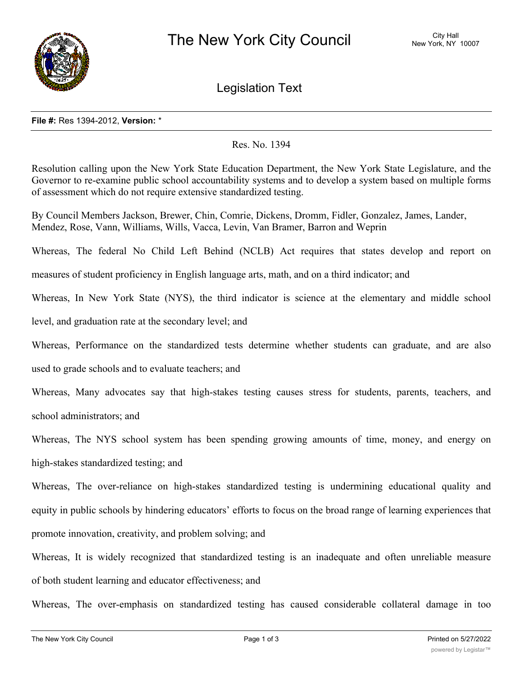

Legislation Text

## **File #:** Res 1394-2012, **Version:** \*

## Res. No. 1394

Resolution calling upon the New York State Education Department, the New York State Legislature, and the Governor to re-examine public school accountability systems and to develop a system based on multiple forms of assessment which do not require extensive standardized testing.

By Council Members Jackson, Brewer, Chin, Comrie, Dickens, Dromm, Fidler, Gonzalez, James, Lander, Mendez, Rose, Vann, Williams, Wills, Vacca, Levin, Van Bramer, Barron and Weprin

Whereas, The federal No Child Left Behind (NCLB) Act requires that states develop and report on

measures of student proficiency in English language arts, math, and on a third indicator; and

Whereas, In New York State (NYS), the third indicator is science at the elementary and middle school

level, and graduation rate at the secondary level; and

Whereas, Performance on the standardized tests determine whether students can graduate, and are also

used to grade schools and to evaluate teachers; and

Whereas, Many advocates say that high-stakes testing causes stress for students, parents, teachers, and school administrators; and

Whereas, The NYS school system has been spending growing amounts of time, money, and energy on high-stakes standardized testing; and

Whereas, The over-reliance on high-stakes standardized testing is undermining educational quality and equity in public schools by hindering educators' efforts to focus on the broad range of learning experiences that promote innovation, creativity, and problem solving; and

Whereas, It is widely recognized that standardized testing is an inadequate and often unreliable measure of both student learning and educator effectiveness; and

Whereas, The over-emphasis on standardized testing has caused considerable collateral damage in too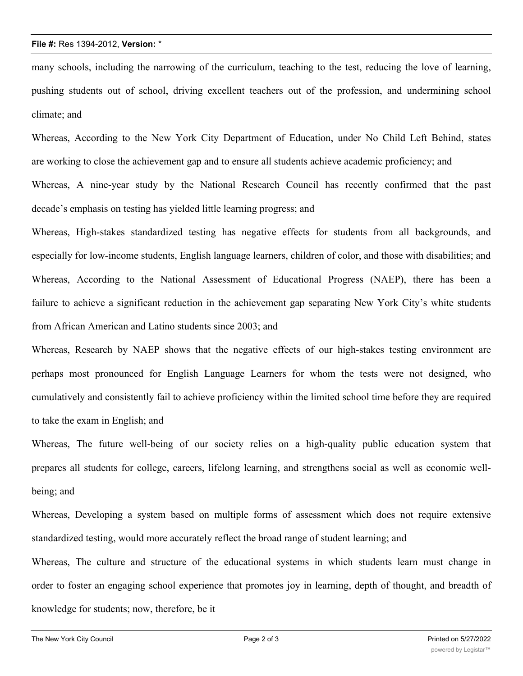## **File #:** Res 1394-2012, **Version:** \*

many schools, including the narrowing of the curriculum, teaching to the test, reducing the love of learning, pushing students out of school, driving excellent teachers out of the profession, and undermining school climate; and

Whereas, According to the New York City Department of Education, under No Child Left Behind, states are working to close the achievement gap and to ensure all students achieve academic proficiency; and Whereas, A nine-year study by the National Research Council has recently confirmed that the past decade's emphasis on testing has yielded little learning progress; and

Whereas, High-stakes standardized testing has negative effects for students from all backgrounds, and especially for low-income students, English language learners, children of color, and those with disabilities; and Whereas, According to the National Assessment of Educational Progress (NAEP), there has been a failure to achieve a significant reduction in the achievement gap separating New York City's white students from African American and Latino students since 2003; and

Whereas, Research by NAEP shows that the negative effects of our high-stakes testing environment are perhaps most pronounced for English Language Learners for whom the tests were not designed, who cumulatively and consistently fail to achieve proficiency within the limited school time before they are required to take the exam in English; and

Whereas, The future well-being of our society relies on a high-quality public education system that prepares all students for college, careers, lifelong learning, and strengthens social as well as economic wellbeing; and

Whereas, Developing a system based on multiple forms of assessment which does not require extensive standardized testing, would more accurately reflect the broad range of student learning; and

Whereas, The culture and structure of the educational systems in which students learn must change in order to foster an engaging school experience that promotes joy in learning, depth of thought, and breadth of knowledge for students; now, therefore, be it